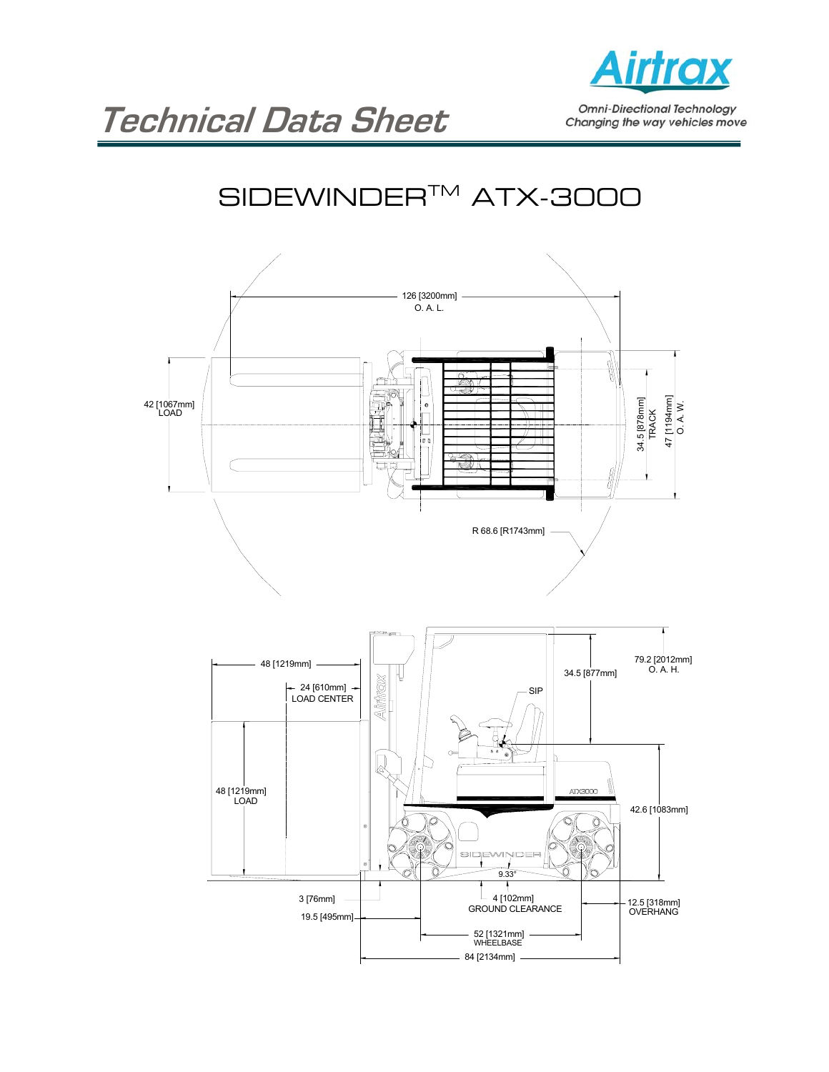

**Omni-Directional Technology** Changing the way vehicles move

## SIDEWINDER<sup>™</sup> ATX-3000